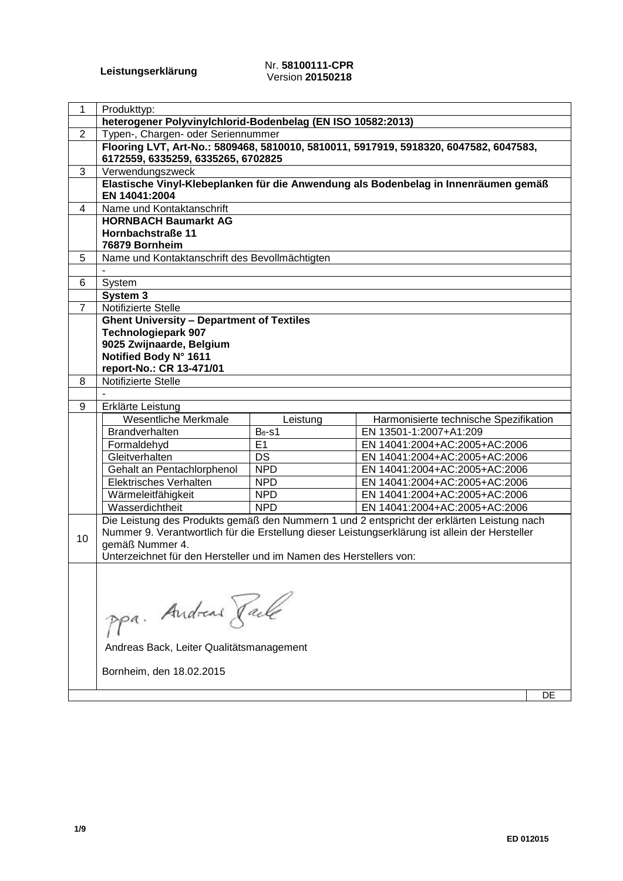#### **Leistungserklärung** Nr. **58100111-CPR** Version **20150218**

| 1              | Produkttyp:                                                        |              |                                                                                                 |
|----------------|--------------------------------------------------------------------|--------------|-------------------------------------------------------------------------------------------------|
|                | heterogener Polyvinylchlorid-Bodenbelag (EN ISO 10582:2013)        |              |                                                                                                 |
| $\overline{2}$ | Typen-, Chargen- oder Seriennummer                                 |              |                                                                                                 |
|                | 6172559, 6335259, 6335265, 6702825                                 |              | Flooring LVT, Art-No.: 5809468, 5810010, 5810011, 5917919, 5918320, 6047582, 6047583,           |
| 3              | Verwendungszweck                                                   |              |                                                                                                 |
|                |                                                                    |              | Elastische Vinyl-Klebeplanken für die Anwendung als Bodenbelag in Innenräumen gemäß             |
|                | EN 14041:2004<br>Name und Kontaktanschrift                         |              |                                                                                                 |
| 4              |                                                                    |              |                                                                                                 |
|                | <b>HORNBACH Baumarkt AG</b><br>Hornbachstraße 11                   |              |                                                                                                 |
|                | 76879 Bornheim                                                     |              |                                                                                                 |
| 5              | Name und Kontaktanschrift des Bevollmächtigten                     |              |                                                                                                 |
|                |                                                                    |              |                                                                                                 |
| 6              | System                                                             |              |                                                                                                 |
|                | System 3                                                           |              |                                                                                                 |
| $\overline{7}$ | Notifizierte Stelle                                                |              |                                                                                                 |
|                | <b>Ghent University - Department of Textiles</b>                   |              |                                                                                                 |
|                | <b>Technologiepark 907</b>                                         |              |                                                                                                 |
|                | 9025 Zwijnaarde, Belgium                                           |              |                                                                                                 |
|                | Notified Body N° 1611                                              |              |                                                                                                 |
| 8              | report-No.: CR 13-471/01<br>Notifizierte Stelle                    |              |                                                                                                 |
|                |                                                                    |              |                                                                                                 |
| 9              | Erklärte Leistung                                                  |              |                                                                                                 |
|                | Wesentliche Merkmale                                               | Leistung     | Harmonisierte technische Spezifikation                                                          |
|                | Brandverhalten                                                     | $B_{fl}$ -s1 | EN 13501-1:2007+A1:209                                                                          |
|                | Formaldehyd                                                        | E1           | EN 14041:2004+AC:2005+AC:2006                                                                   |
|                | Gleitverhalten                                                     | DS           | EN 14041:2004+AC:2005+AC:2006                                                                   |
|                | Gehalt an Pentachlorphenol                                         | <b>NPD</b>   | EN 14041:2004+AC:2005+AC:2006                                                                   |
|                | Elektrisches Verhalten                                             | <b>NPD</b>   | EN 14041:2004+AC:2005+AC:2006                                                                   |
|                | Wärmeleitfähigkeit                                                 | <b>NPD</b>   | EN 14041:2004+AC:2005+AC:2006                                                                   |
|                | Wasserdichtheit                                                    | <b>NPD</b>   | EN 14041:2004+AC:2005+AC:2006                                                                   |
|                |                                                                    |              | Die Leistung des Produkts gemäß den Nummern 1 und 2 entspricht der erklärten Leistung nach      |
| 10             |                                                                    |              | Nummer 9. Verantwortlich für die Erstellung dieser Leistungserklärung ist allein der Hersteller |
|                | gemäß Nummer 4.                                                    |              |                                                                                                 |
|                | Unterzeichnet für den Hersteller und im Namen des Herstellers von: |              |                                                                                                 |
|                |                                                                    |              |                                                                                                 |
|                |                                                                    |              |                                                                                                 |
|                |                                                                    |              |                                                                                                 |
|                |                                                                    |              |                                                                                                 |
|                | ppa. Andreas Rack                                                  |              |                                                                                                 |
|                | Andreas Back, Leiter Qualitätsmanagement                           |              |                                                                                                 |
|                |                                                                    |              |                                                                                                 |
|                | Bornheim, den 18.02.2015                                           |              |                                                                                                 |

DE

 $\overline{\phantom{a}}$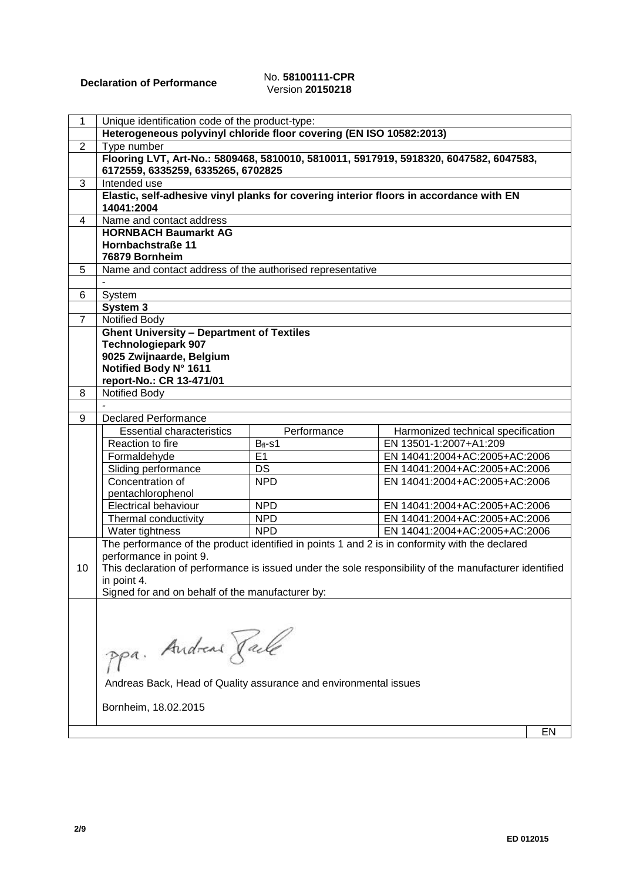# Version **20150218**

| $\mathbf{1}$   | Unique identification code of the product-type:                                                      |                    |                                                                                                        |    |
|----------------|------------------------------------------------------------------------------------------------------|--------------------|--------------------------------------------------------------------------------------------------------|----|
|                | Heterogeneous polyvinyl chloride floor covering (EN ISO 10582:2013)                                  |                    |                                                                                                        |    |
| $\overline{2}$ | Type number                                                                                          |                    |                                                                                                        |    |
|                | 6172559, 6335259, 6335265, 6702825                                                                   |                    | Flooring LVT, Art-No.: 5809468, 5810010, 5810011, 5917919, 5918320, 6047582, 6047583,                  |    |
| 3              | Intended use                                                                                         |                    |                                                                                                        |    |
|                | Elastic, self-adhesive vinyl planks for covering interior floors in accordance with EN<br>14041:2004 |                    |                                                                                                        |    |
| 4              | Name and contact address                                                                             |                    |                                                                                                        |    |
|                | <b>HORNBACH Baumarkt AG</b>                                                                          |                    |                                                                                                        |    |
|                | Hornbachstraße 11                                                                                    |                    |                                                                                                        |    |
|                | 76879 Bornheim                                                                                       |                    |                                                                                                        |    |
| 5              | Name and contact address of the authorised representative                                            |                    |                                                                                                        |    |
|                |                                                                                                      |                    |                                                                                                        |    |
| 6              | System                                                                                               |                    |                                                                                                        |    |
|                | System 3                                                                                             |                    |                                                                                                        |    |
| $\overline{7}$ | <b>Notified Body</b>                                                                                 |                    |                                                                                                        |    |
|                | <b>Ghent University - Department of Textiles</b>                                                     |                    |                                                                                                        |    |
|                | <b>Technologiepark 907</b>                                                                           |                    |                                                                                                        |    |
|                | 9025 Zwijnaarde, Belgium                                                                             |                    |                                                                                                        |    |
|                | Notified Body N° 1611                                                                                |                    |                                                                                                        |    |
|                | report-No.: CR 13-471/01                                                                             |                    |                                                                                                        |    |
| 8              | Notified Body                                                                                        |                    |                                                                                                        |    |
| 9              | <b>Declared Performance</b>                                                                          |                    |                                                                                                        |    |
|                |                                                                                                      |                    |                                                                                                        |    |
|                | <b>Essential characteristics</b><br>Reaction to fire                                                 | Performance        | Harmonized technical specification<br>EN 13501-1:2007+A1:209                                           |    |
|                | Formaldehyde                                                                                         | $B_{fl}$ -s1<br>E1 | EN 14041:2004+AC:2005+AC:2006                                                                          |    |
|                | Sliding performance                                                                                  | <b>DS</b>          | EN 14041:2004+AC:2005+AC:2006                                                                          |    |
|                | Concentration of                                                                                     | <b>NPD</b>         | EN 14041:2004+AC:2005+AC:2006                                                                          |    |
|                | pentachlorophenol                                                                                    |                    |                                                                                                        |    |
|                | <b>Electrical behaviour</b>                                                                          | <b>NPD</b>         | EN 14041:2004+AC:2005+AC:2006                                                                          |    |
|                | Thermal conductivity                                                                                 | <b>NPD</b>         | EN 14041:2004+AC:2005+AC:2006                                                                          |    |
|                | Water tightness                                                                                      | <b>NPD</b>         | EN 14041:2004+AC:2005+AC:2006                                                                          |    |
|                |                                                                                                      |                    | The performance of the product identified in points 1 and 2 is in conformity with the declared         |    |
|                | performance in point 9.                                                                              |                    |                                                                                                        |    |
| 10             |                                                                                                      |                    | This declaration of performance is issued under the sole responsibility of the manufacturer identified |    |
|                | in point 4.                                                                                          |                    |                                                                                                        |    |
|                | Signed for and on behalf of the manufacturer by:                                                     |                    |                                                                                                        |    |
|                |                                                                                                      |                    |                                                                                                        |    |
|                |                                                                                                      |                    |                                                                                                        |    |
|                |                                                                                                      |                    |                                                                                                        |    |
|                |                                                                                                      |                    |                                                                                                        |    |
|                | ppa. Andreas Rack                                                                                    |                    |                                                                                                        |    |
|                |                                                                                                      |                    |                                                                                                        |    |
|                | Andreas Back, Head of Quality assurance and environmental issues                                     |                    |                                                                                                        |    |
|                | Bornheim, 18.02.2015                                                                                 |                    |                                                                                                        |    |
|                |                                                                                                      |                    |                                                                                                        |    |
|                |                                                                                                      |                    |                                                                                                        | EN |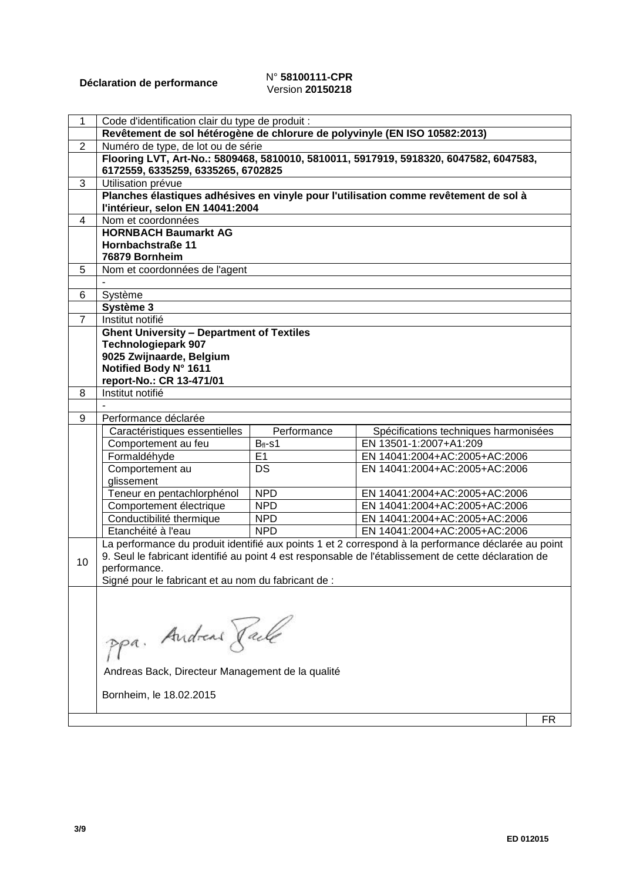## **Déclaration de performance** N° **58100111-CPR** Version **20150218**

| 1              | Code d'identification clair du type de produit :                               |                 |                                                                                                      |    |
|----------------|--------------------------------------------------------------------------------|-----------------|------------------------------------------------------------------------------------------------------|----|
|                | Revêtement de sol hétérogène de chlorure de polyvinyle (EN ISO 10582:2013)     |                 |                                                                                                      |    |
| $\overline{2}$ | Numéro de type, de lot ou de série                                             |                 |                                                                                                      |    |
|                | 6172559, 6335259, 6335265, 6702825                                             |                 | Flooring LVT, Art-No.: 5809468, 5810010, 5810011, 5917919, 5918320, 6047582, 6047583,                |    |
| 3              | Utilisation prévue                                                             |                 |                                                                                                      |    |
|                |                                                                                |                 | Planches élastiques adhésives en vinyle pour l'utilisation comme revêtement de sol à                 |    |
|                | l'intérieur, selon EN 14041:2004                                               |                 |                                                                                                      |    |
| 4              | Nom et coordonnées                                                             |                 |                                                                                                      |    |
|                | <b>HORNBACH Baumarkt AG</b>                                                    |                 |                                                                                                      |    |
|                | Hornbachstraße 11                                                              |                 |                                                                                                      |    |
|                | 76879 Bornheim                                                                 |                 |                                                                                                      |    |
| 5              | Nom et coordonnées de l'agent                                                  |                 |                                                                                                      |    |
|                |                                                                                |                 |                                                                                                      |    |
| 6              | Système                                                                        |                 |                                                                                                      |    |
|                | Système 3                                                                      |                 |                                                                                                      |    |
| $\overline{7}$ | Institut notifié                                                               |                 |                                                                                                      |    |
|                | <b>Ghent University - Department of Textiles</b><br><b>Technologiepark 907</b> |                 |                                                                                                      |    |
|                | 9025 Zwijnaarde, Belgium                                                       |                 |                                                                                                      |    |
|                | Notified Body N° 1611                                                          |                 |                                                                                                      |    |
|                | report-No.: CR 13-471/01                                                       |                 |                                                                                                      |    |
| 8              | Institut notifié                                                               |                 |                                                                                                      |    |
|                |                                                                                |                 |                                                                                                      |    |
| 9              | Performance déclarée                                                           |                 |                                                                                                      |    |
|                | Caractéristiques essentielles                                                  | Performance     | Spécifications techniques harmonisées                                                                |    |
|                | Comportement au feu                                                            | $Bfl-s1$        | EN 13501-1:2007+A1:209                                                                               |    |
|                | Formaldéhyde                                                                   | E1              | EN 14041:2004+AC:2005+AC:2006                                                                        |    |
|                | Comportement au                                                                | $\overline{DS}$ | EN 14041:2004+AC:2005+AC:2006                                                                        |    |
|                | glissement                                                                     |                 |                                                                                                      |    |
|                | Teneur en pentachlorphénol                                                     | <b>NPD</b>      | EN 14041:2004+AC:2005+AC:2006                                                                        |    |
|                | Comportement électrique                                                        | <b>NPD</b>      | EN 14041:2004+AC:2005+AC:2006                                                                        |    |
|                | Conductibilité thermique                                                       | <b>NPD</b>      | EN 14041:2004+AC:2005+AC:2006                                                                        |    |
|                | Etanchéité à l'eau                                                             | <b>NPD</b>      | EN 14041:2004+AC:2005+AC:2006                                                                        |    |
|                |                                                                                |                 | La performance du produit identifié aux points 1 et 2 correspond à la performance déclarée au point  |    |
| 10             |                                                                                |                 | 9. Seul le fabricant identifié au point 4 est responsable de l'établissement de cette déclaration de |    |
|                | performance.                                                                   |                 |                                                                                                      |    |
|                | Signé pour le fabricant et au nom du fabricant de :                            |                 |                                                                                                      |    |
|                |                                                                                |                 |                                                                                                      |    |
|                |                                                                                |                 |                                                                                                      |    |
|                |                                                                                |                 |                                                                                                      |    |
|                | ppa. Andreas Rache                                                             |                 |                                                                                                      |    |
|                |                                                                                |                 |                                                                                                      |    |
|                |                                                                                |                 |                                                                                                      |    |
|                | Andreas Back, Directeur Management de la qualité                               |                 |                                                                                                      |    |
|                | Bornheim, le 18.02.2015                                                        |                 |                                                                                                      |    |
|                |                                                                                |                 |                                                                                                      |    |
|                |                                                                                |                 |                                                                                                      | FR |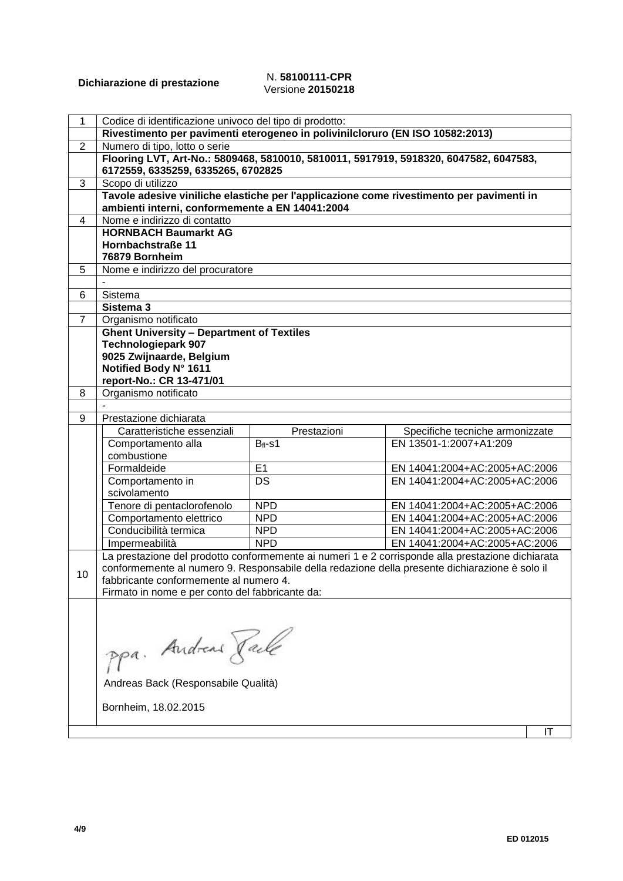#### **Dichiarazione di prestazione** N. **58100111-CPR** Versione **20150218**

| Codice di identificazione univoco del tipo di prodotto:<br>1<br>Rivestimento per pavimenti eterogeneo in polivinilcloruro (EN ISO 10582:2013)<br>Numero di tipo, lotto o serie<br>2<br>Flooring LVT, Art-No.: 5809468, 5810010, 5810011, 5917919, 5918320, 6047582, 6047583,<br>6172559, 6335259, 6335265, 6702825<br>Scopo di utilizzo<br>3<br>Tavole adesive viniliche elastiche per l'applicazione come rivestimento per pavimenti in<br>ambienti interni, conformemente a EN 14041:2004<br>Nome e indirizzo di contatto<br>4<br><b>HORNBACH Baumarkt AG</b><br>Hornbachstraße 11<br>76879 Bornheim<br>5<br>Nome e indirizzo del procuratore<br>Sistema<br>6<br>Sistema 3<br>$\overline{7}$<br>Organismo notificato<br><b>Ghent University - Department of Textiles</b><br><b>Technologiepark 907</b><br>9025 Zwijnaarde, Belgium<br>Notified Body N° 1611<br>report-No.: CR 13-471/01<br>Organismo notificato<br>8<br>Prestazione dichiarata<br>9<br>Caratteristiche essenziali<br>Prestazioni<br>Specifiche tecniche armonizzate<br>EN 13501-1:2007+A1:209<br>Comportamento alla<br>$Bf1-S1$<br>combustione<br>E1<br>Formaldeide<br>EN 14041:2004+AC:2005+AC:2006<br>DS<br>EN 14041:2004+AC:2005+AC:2006<br>Comportamento in<br>scivolamento<br>Tenore di pentaclorofenolo<br><b>NPD</b><br>EN 14041:2004+AC:2005+AC:2006<br>EN 14041:2004+AC:2005+AC:2006<br><b>NPD</b><br>Comportamento elettrico<br>Conducibilità termica<br>EN 14041:2004+AC:2005+AC:2006<br><b>NPD</b><br>Impermeabilità<br><b>NPD</b><br>EN 14041:2004+AC:2005+AC:2006<br>La prestazione del prodotto conformemente ai numeri 1 e 2 corrisponde alla prestazione dichiarata<br>conformemente al numero 9. Responsabile della redazione della presente dichiarazione è solo il<br>10<br>fabbricante conformemente al numero 4.<br>Firmato in nome e per conto del fabbricante da: |
|-------------------------------------------------------------------------------------------------------------------------------------------------------------------------------------------------------------------------------------------------------------------------------------------------------------------------------------------------------------------------------------------------------------------------------------------------------------------------------------------------------------------------------------------------------------------------------------------------------------------------------------------------------------------------------------------------------------------------------------------------------------------------------------------------------------------------------------------------------------------------------------------------------------------------------------------------------------------------------------------------------------------------------------------------------------------------------------------------------------------------------------------------------------------------------------------------------------------------------------------------------------------------------------------------------------------------------------------------------------------------------------------------------------------------------------------------------------------------------------------------------------------------------------------------------------------------------------------------------------------------------------------------------------------------------------------------------------------------------------------------------------------------------------------------------------------------------------------------------------|
|                                                                                                                                                                                                                                                                                                                                                                                                                                                                                                                                                                                                                                                                                                                                                                                                                                                                                                                                                                                                                                                                                                                                                                                                                                                                                                                                                                                                                                                                                                                                                                                                                                                                                                                                                                                                                                                             |
|                                                                                                                                                                                                                                                                                                                                                                                                                                                                                                                                                                                                                                                                                                                                                                                                                                                                                                                                                                                                                                                                                                                                                                                                                                                                                                                                                                                                                                                                                                                                                                                                                                                                                                                                                                                                                                                             |
|                                                                                                                                                                                                                                                                                                                                                                                                                                                                                                                                                                                                                                                                                                                                                                                                                                                                                                                                                                                                                                                                                                                                                                                                                                                                                                                                                                                                                                                                                                                                                                                                                                                                                                                                                                                                                                                             |
|                                                                                                                                                                                                                                                                                                                                                                                                                                                                                                                                                                                                                                                                                                                                                                                                                                                                                                                                                                                                                                                                                                                                                                                                                                                                                                                                                                                                                                                                                                                                                                                                                                                                                                                                                                                                                                                             |
|                                                                                                                                                                                                                                                                                                                                                                                                                                                                                                                                                                                                                                                                                                                                                                                                                                                                                                                                                                                                                                                                                                                                                                                                                                                                                                                                                                                                                                                                                                                                                                                                                                                                                                                                                                                                                                                             |
|                                                                                                                                                                                                                                                                                                                                                                                                                                                                                                                                                                                                                                                                                                                                                                                                                                                                                                                                                                                                                                                                                                                                                                                                                                                                                                                                                                                                                                                                                                                                                                                                                                                                                                                                                                                                                                                             |
|                                                                                                                                                                                                                                                                                                                                                                                                                                                                                                                                                                                                                                                                                                                                                                                                                                                                                                                                                                                                                                                                                                                                                                                                                                                                                                                                                                                                                                                                                                                                                                                                                                                                                                                                                                                                                                                             |
|                                                                                                                                                                                                                                                                                                                                                                                                                                                                                                                                                                                                                                                                                                                                                                                                                                                                                                                                                                                                                                                                                                                                                                                                                                                                                                                                                                                                                                                                                                                                                                                                                                                                                                                                                                                                                                                             |
|                                                                                                                                                                                                                                                                                                                                                                                                                                                                                                                                                                                                                                                                                                                                                                                                                                                                                                                                                                                                                                                                                                                                                                                                                                                                                                                                                                                                                                                                                                                                                                                                                                                                                                                                                                                                                                                             |
|                                                                                                                                                                                                                                                                                                                                                                                                                                                                                                                                                                                                                                                                                                                                                                                                                                                                                                                                                                                                                                                                                                                                                                                                                                                                                                                                                                                                                                                                                                                                                                                                                                                                                                                                                                                                                                                             |
|                                                                                                                                                                                                                                                                                                                                                                                                                                                                                                                                                                                                                                                                                                                                                                                                                                                                                                                                                                                                                                                                                                                                                                                                                                                                                                                                                                                                                                                                                                                                                                                                                                                                                                                                                                                                                                                             |
|                                                                                                                                                                                                                                                                                                                                                                                                                                                                                                                                                                                                                                                                                                                                                                                                                                                                                                                                                                                                                                                                                                                                                                                                                                                                                                                                                                                                                                                                                                                                                                                                                                                                                                                                                                                                                                                             |
|                                                                                                                                                                                                                                                                                                                                                                                                                                                                                                                                                                                                                                                                                                                                                                                                                                                                                                                                                                                                                                                                                                                                                                                                                                                                                                                                                                                                                                                                                                                                                                                                                                                                                                                                                                                                                                                             |
|                                                                                                                                                                                                                                                                                                                                                                                                                                                                                                                                                                                                                                                                                                                                                                                                                                                                                                                                                                                                                                                                                                                                                                                                                                                                                                                                                                                                                                                                                                                                                                                                                                                                                                                                                                                                                                                             |
|                                                                                                                                                                                                                                                                                                                                                                                                                                                                                                                                                                                                                                                                                                                                                                                                                                                                                                                                                                                                                                                                                                                                                                                                                                                                                                                                                                                                                                                                                                                                                                                                                                                                                                                                                                                                                                                             |
|                                                                                                                                                                                                                                                                                                                                                                                                                                                                                                                                                                                                                                                                                                                                                                                                                                                                                                                                                                                                                                                                                                                                                                                                                                                                                                                                                                                                                                                                                                                                                                                                                                                                                                                                                                                                                                                             |
|                                                                                                                                                                                                                                                                                                                                                                                                                                                                                                                                                                                                                                                                                                                                                                                                                                                                                                                                                                                                                                                                                                                                                                                                                                                                                                                                                                                                                                                                                                                                                                                                                                                                                                                                                                                                                                                             |
|                                                                                                                                                                                                                                                                                                                                                                                                                                                                                                                                                                                                                                                                                                                                                                                                                                                                                                                                                                                                                                                                                                                                                                                                                                                                                                                                                                                                                                                                                                                                                                                                                                                                                                                                                                                                                                                             |
|                                                                                                                                                                                                                                                                                                                                                                                                                                                                                                                                                                                                                                                                                                                                                                                                                                                                                                                                                                                                                                                                                                                                                                                                                                                                                                                                                                                                                                                                                                                                                                                                                                                                                                                                                                                                                                                             |
|                                                                                                                                                                                                                                                                                                                                                                                                                                                                                                                                                                                                                                                                                                                                                                                                                                                                                                                                                                                                                                                                                                                                                                                                                                                                                                                                                                                                                                                                                                                                                                                                                                                                                                                                                                                                                                                             |
|                                                                                                                                                                                                                                                                                                                                                                                                                                                                                                                                                                                                                                                                                                                                                                                                                                                                                                                                                                                                                                                                                                                                                                                                                                                                                                                                                                                                                                                                                                                                                                                                                                                                                                                                                                                                                                                             |
|                                                                                                                                                                                                                                                                                                                                                                                                                                                                                                                                                                                                                                                                                                                                                                                                                                                                                                                                                                                                                                                                                                                                                                                                                                                                                                                                                                                                                                                                                                                                                                                                                                                                                                                                                                                                                                                             |
|                                                                                                                                                                                                                                                                                                                                                                                                                                                                                                                                                                                                                                                                                                                                                                                                                                                                                                                                                                                                                                                                                                                                                                                                                                                                                                                                                                                                                                                                                                                                                                                                                                                                                                                                                                                                                                                             |
|                                                                                                                                                                                                                                                                                                                                                                                                                                                                                                                                                                                                                                                                                                                                                                                                                                                                                                                                                                                                                                                                                                                                                                                                                                                                                                                                                                                                                                                                                                                                                                                                                                                                                                                                                                                                                                                             |
|                                                                                                                                                                                                                                                                                                                                                                                                                                                                                                                                                                                                                                                                                                                                                                                                                                                                                                                                                                                                                                                                                                                                                                                                                                                                                                                                                                                                                                                                                                                                                                                                                                                                                                                                                                                                                                                             |
|                                                                                                                                                                                                                                                                                                                                                                                                                                                                                                                                                                                                                                                                                                                                                                                                                                                                                                                                                                                                                                                                                                                                                                                                                                                                                                                                                                                                                                                                                                                                                                                                                                                                                                                                                                                                                                                             |
|                                                                                                                                                                                                                                                                                                                                                                                                                                                                                                                                                                                                                                                                                                                                                                                                                                                                                                                                                                                                                                                                                                                                                                                                                                                                                                                                                                                                                                                                                                                                                                                                                                                                                                                                                                                                                                                             |
|                                                                                                                                                                                                                                                                                                                                                                                                                                                                                                                                                                                                                                                                                                                                                                                                                                                                                                                                                                                                                                                                                                                                                                                                                                                                                                                                                                                                                                                                                                                                                                                                                                                                                                                                                                                                                                                             |
|                                                                                                                                                                                                                                                                                                                                                                                                                                                                                                                                                                                                                                                                                                                                                                                                                                                                                                                                                                                                                                                                                                                                                                                                                                                                                                                                                                                                                                                                                                                                                                                                                                                                                                                                                                                                                                                             |
|                                                                                                                                                                                                                                                                                                                                                                                                                                                                                                                                                                                                                                                                                                                                                                                                                                                                                                                                                                                                                                                                                                                                                                                                                                                                                                                                                                                                                                                                                                                                                                                                                                                                                                                                                                                                                                                             |
|                                                                                                                                                                                                                                                                                                                                                                                                                                                                                                                                                                                                                                                                                                                                                                                                                                                                                                                                                                                                                                                                                                                                                                                                                                                                                                                                                                                                                                                                                                                                                                                                                                                                                                                                                                                                                                                             |
|                                                                                                                                                                                                                                                                                                                                                                                                                                                                                                                                                                                                                                                                                                                                                                                                                                                                                                                                                                                                                                                                                                                                                                                                                                                                                                                                                                                                                                                                                                                                                                                                                                                                                                                                                                                                                                                             |
|                                                                                                                                                                                                                                                                                                                                                                                                                                                                                                                                                                                                                                                                                                                                                                                                                                                                                                                                                                                                                                                                                                                                                                                                                                                                                                                                                                                                                                                                                                                                                                                                                                                                                                                                                                                                                                                             |
|                                                                                                                                                                                                                                                                                                                                                                                                                                                                                                                                                                                                                                                                                                                                                                                                                                                                                                                                                                                                                                                                                                                                                                                                                                                                                                                                                                                                                                                                                                                                                                                                                                                                                                                                                                                                                                                             |
|                                                                                                                                                                                                                                                                                                                                                                                                                                                                                                                                                                                                                                                                                                                                                                                                                                                                                                                                                                                                                                                                                                                                                                                                                                                                                                                                                                                                                                                                                                                                                                                                                                                                                                                                                                                                                                                             |
|                                                                                                                                                                                                                                                                                                                                                                                                                                                                                                                                                                                                                                                                                                                                                                                                                                                                                                                                                                                                                                                                                                                                                                                                                                                                                                                                                                                                                                                                                                                                                                                                                                                                                                                                                                                                                                                             |
|                                                                                                                                                                                                                                                                                                                                                                                                                                                                                                                                                                                                                                                                                                                                                                                                                                                                                                                                                                                                                                                                                                                                                                                                                                                                                                                                                                                                                                                                                                                                                                                                                                                                                                                                                                                                                                                             |
|                                                                                                                                                                                                                                                                                                                                                                                                                                                                                                                                                                                                                                                                                                                                                                                                                                                                                                                                                                                                                                                                                                                                                                                                                                                                                                                                                                                                                                                                                                                                                                                                                                                                                                                                                                                                                                                             |
|                                                                                                                                                                                                                                                                                                                                                                                                                                                                                                                                                                                                                                                                                                                                                                                                                                                                                                                                                                                                                                                                                                                                                                                                                                                                                                                                                                                                                                                                                                                                                                                                                                                                                                                                                                                                                                                             |
|                                                                                                                                                                                                                                                                                                                                                                                                                                                                                                                                                                                                                                                                                                                                                                                                                                                                                                                                                                                                                                                                                                                                                                                                                                                                                                                                                                                                                                                                                                                                                                                                                                                                                                                                                                                                                                                             |
|                                                                                                                                                                                                                                                                                                                                                                                                                                                                                                                                                                                                                                                                                                                                                                                                                                                                                                                                                                                                                                                                                                                                                                                                                                                                                                                                                                                                                                                                                                                                                                                                                                                                                                                                                                                                                                                             |
|                                                                                                                                                                                                                                                                                                                                                                                                                                                                                                                                                                                                                                                                                                                                                                                                                                                                                                                                                                                                                                                                                                                                                                                                                                                                                                                                                                                                                                                                                                                                                                                                                                                                                                                                                                                                                                                             |
|                                                                                                                                                                                                                                                                                                                                                                                                                                                                                                                                                                                                                                                                                                                                                                                                                                                                                                                                                                                                                                                                                                                                                                                                                                                                                                                                                                                                                                                                                                                                                                                                                                                                                                                                                                                                                                                             |
| ppa. Andreas Jack                                                                                                                                                                                                                                                                                                                                                                                                                                                                                                                                                                                                                                                                                                                                                                                                                                                                                                                                                                                                                                                                                                                                                                                                                                                                                                                                                                                                                                                                                                                                                                                                                                                                                                                                                                                                                                           |
| Andreas Back (Responsabile Qualità)                                                                                                                                                                                                                                                                                                                                                                                                                                                                                                                                                                                                                                                                                                                                                                                                                                                                                                                                                                                                                                                                                                                                                                                                                                                                                                                                                                                                                                                                                                                                                                                                                                                                                                                                                                                                                         |
|                                                                                                                                                                                                                                                                                                                                                                                                                                                                                                                                                                                                                                                                                                                                                                                                                                                                                                                                                                                                                                                                                                                                                                                                                                                                                                                                                                                                                                                                                                                                                                                                                                                                                                                                                                                                                                                             |
| Bornheim, 18.02.2015                                                                                                                                                                                                                                                                                                                                                                                                                                                                                                                                                                                                                                                                                                                                                                                                                                                                                                                                                                                                                                                                                                                                                                                                                                                                                                                                                                                                                                                                                                                                                                                                                                                                                                                                                                                                                                        |
|                                                                                                                                                                                                                                                                                                                                                                                                                                                                                                                                                                                                                                                                                                                                                                                                                                                                                                                                                                                                                                                                                                                                                                                                                                                                                                                                                                                                                                                                                                                                                                                                                                                                                                                                                                                                                                                             |
|                                                                                                                                                                                                                                                                                                                                                                                                                                                                                                                                                                                                                                                                                                                                                                                                                                                                                                                                                                                                                                                                                                                                                                                                                                                                                                                                                                                                                                                                                                                                                                                                                                                                                                                                                                                                                                                             |
|                                                                                                                                                                                                                                                                                                                                                                                                                                                                                                                                                                                                                                                                                                                                                                                                                                                                                                                                                                                                                                                                                                                                                                                                                                                                                                                                                                                                                                                                                                                                                                                                                                                                                                                                                                                                                                                             |
|                                                                                                                                                                                                                                                                                                                                                                                                                                                                                                                                                                                                                                                                                                                                                                                                                                                                                                                                                                                                                                                                                                                                                                                                                                                                                                                                                                                                                                                                                                                                                                                                                                                                                                                                                                                                                                                             |
|                                                                                                                                                                                                                                                                                                                                                                                                                                                                                                                                                                                                                                                                                                                                                                                                                                                                                                                                                                                                                                                                                                                                                                                                                                                                                                                                                                                                                                                                                                                                                                                                                                                                                                                                                                                                                                                             |
|                                                                                                                                                                                                                                                                                                                                                                                                                                                                                                                                                                                                                                                                                                                                                                                                                                                                                                                                                                                                                                                                                                                                                                                                                                                                                                                                                                                                                                                                                                                                                                                                                                                                                                                                                                                                                                                             |
|                                                                                                                                                                                                                                                                                                                                                                                                                                                                                                                                                                                                                                                                                                                                                                                                                                                                                                                                                                                                                                                                                                                                                                                                                                                                                                                                                                                                                                                                                                                                                                                                                                                                                                                                                                                                                                                             |
|                                                                                                                                                                                                                                                                                                                                                                                                                                                                                                                                                                                                                                                                                                                                                                                                                                                                                                                                                                                                                                                                                                                                                                                                                                                                                                                                                                                                                                                                                                                                                                                                                                                                                                                                                                                                                                                             |
|                                                                                                                                                                                                                                                                                                                                                                                                                                                                                                                                                                                                                                                                                                                                                                                                                                                                                                                                                                                                                                                                                                                                                                                                                                                                                                                                                                                                                                                                                                                                                                                                                                                                                                                                                                                                                                                             |
|                                                                                                                                                                                                                                                                                                                                                                                                                                                                                                                                                                                                                                                                                                                                                                                                                                                                                                                                                                                                                                                                                                                                                                                                                                                                                                                                                                                                                                                                                                                                                                                                                                                                                                                                                                                                                                                             |
|                                                                                                                                                                                                                                                                                                                                                                                                                                                                                                                                                                                                                                                                                                                                                                                                                                                                                                                                                                                                                                                                                                                                                                                                                                                                                                                                                                                                                                                                                                                                                                                                                                                                                                                                                                                                                                                             |
|                                                                                                                                                                                                                                                                                                                                                                                                                                                                                                                                                                                                                                                                                                                                                                                                                                                                                                                                                                                                                                                                                                                                                                                                                                                                                                                                                                                                                                                                                                                                                                                                                                                                                                                                                                                                                                                             |
|                                                                                                                                                                                                                                                                                                                                                                                                                                                                                                                                                                                                                                                                                                                                                                                                                                                                                                                                                                                                                                                                                                                                                                                                                                                                                                                                                                                                                                                                                                                                                                                                                                                                                                                                                                                                                                                             |
|                                                                                                                                                                                                                                                                                                                                                                                                                                                                                                                                                                                                                                                                                                                                                                                                                                                                                                                                                                                                                                                                                                                                                                                                                                                                                                                                                                                                                                                                                                                                                                                                                                                                                                                                                                                                                                                             |
|                                                                                                                                                                                                                                                                                                                                                                                                                                                                                                                                                                                                                                                                                                                                                                                                                                                                                                                                                                                                                                                                                                                                                                                                                                                                                                                                                                                                                                                                                                                                                                                                                                                                                                                                                                                                                                                             |
|                                                                                                                                                                                                                                                                                                                                                                                                                                                                                                                                                                                                                                                                                                                                                                                                                                                                                                                                                                                                                                                                                                                                                                                                                                                                                                                                                                                                                                                                                                                                                                                                                                                                                                                                                                                                                                                             |
|                                                                                                                                                                                                                                                                                                                                                                                                                                                                                                                                                                                                                                                                                                                                                                                                                                                                                                                                                                                                                                                                                                                                                                                                                                                                                                                                                                                                                                                                                                                                                                                                                                                                                                                                                                                                                                                             |
|                                                                                                                                                                                                                                                                                                                                                                                                                                                                                                                                                                                                                                                                                                                                                                                                                                                                                                                                                                                                                                                                                                                                                                                                                                                                                                                                                                                                                                                                                                                                                                                                                                                                                                                                                                                                                                                             |
|                                                                                                                                                                                                                                                                                                                                                                                                                                                                                                                                                                                                                                                                                                                                                                                                                                                                                                                                                                                                                                                                                                                                                                                                                                                                                                                                                                                                                                                                                                                                                                                                                                                                                                                                                                                                                                                             |
|                                                                                                                                                                                                                                                                                                                                                                                                                                                                                                                                                                                                                                                                                                                                                                                                                                                                                                                                                                                                                                                                                                                                                                                                                                                                                                                                                                                                                                                                                                                                                                                                                                                                                                                                                                                                                                                             |
|                                                                                                                                                                                                                                                                                                                                                                                                                                                                                                                                                                                                                                                                                                                                                                                                                                                                                                                                                                                                                                                                                                                                                                                                                                                                                                                                                                                                                                                                                                                                                                                                                                                                                                                                                                                                                                                             |
|                                                                                                                                                                                                                                                                                                                                                                                                                                                                                                                                                                                                                                                                                                                                                                                                                                                                                                                                                                                                                                                                                                                                                                                                                                                                                                                                                                                                                                                                                                                                                                                                                                                                                                                                                                                                                                                             |
|                                                                                                                                                                                                                                                                                                                                                                                                                                                                                                                                                                                                                                                                                                                                                                                                                                                                                                                                                                                                                                                                                                                                                                                                                                                                                                                                                                                                                                                                                                                                                                                                                                                                                                                                                                                                                                                             |
|                                                                                                                                                                                                                                                                                                                                                                                                                                                                                                                                                                                                                                                                                                                                                                                                                                                                                                                                                                                                                                                                                                                                                                                                                                                                                                                                                                                                                                                                                                                                                                                                                                                                                                                                                                                                                                                             |
|                                                                                                                                                                                                                                                                                                                                                                                                                                                                                                                                                                                                                                                                                                                                                                                                                                                                                                                                                                                                                                                                                                                                                                                                                                                                                                                                                                                                                                                                                                                                                                                                                                                                                                                                                                                                                                                             |
|                                                                                                                                                                                                                                                                                                                                                                                                                                                                                                                                                                                                                                                                                                                                                                                                                                                                                                                                                                                                                                                                                                                                                                                                                                                                                                                                                                                                                                                                                                                                                                                                                                                                                                                                                                                                                                                             |
|                                                                                                                                                                                                                                                                                                                                                                                                                                                                                                                                                                                                                                                                                                                                                                                                                                                                                                                                                                                                                                                                                                                                                                                                                                                                                                                                                                                                                                                                                                                                                                                                                                                                                                                                                                                                                                                             |
|                                                                                                                                                                                                                                                                                                                                                                                                                                                                                                                                                                                                                                                                                                                                                                                                                                                                                                                                                                                                                                                                                                                                                                                                                                                                                                                                                                                                                                                                                                                                                                                                                                                                                                                                                                                                                                                             |
|                                                                                                                                                                                                                                                                                                                                                                                                                                                                                                                                                                                                                                                                                                                                                                                                                                                                                                                                                                                                                                                                                                                                                                                                                                                                                                                                                                                                                                                                                                                                                                                                                                                                                                                                                                                                                                                             |
|                                                                                                                                                                                                                                                                                                                                                                                                                                                                                                                                                                                                                                                                                                                                                                                                                                                                                                                                                                                                                                                                                                                                                                                                                                                                                                                                                                                                                                                                                                                                                                                                                                                                                                                                                                                                                                                             |
|                                                                                                                                                                                                                                                                                                                                                                                                                                                                                                                                                                                                                                                                                                                                                                                                                                                                                                                                                                                                                                                                                                                                                                                                                                                                                                                                                                                                                                                                                                                                                                                                                                                                                                                                                                                                                                                             |
|                                                                                                                                                                                                                                                                                                                                                                                                                                                                                                                                                                                                                                                                                                                                                                                                                                                                                                                                                                                                                                                                                                                                                                                                                                                                                                                                                                                                                                                                                                                                                                                                                                                                                                                                                                                                                                                             |
|                                                                                                                                                                                                                                                                                                                                                                                                                                                                                                                                                                                                                                                                                                                                                                                                                                                                                                                                                                                                                                                                                                                                                                                                                                                                                                                                                                                                                                                                                                                                                                                                                                                                                                                                                                                                                                                             |
|                                                                                                                                                                                                                                                                                                                                                                                                                                                                                                                                                                                                                                                                                                                                                                                                                                                                                                                                                                                                                                                                                                                                                                                                                                                                                                                                                                                                                                                                                                                                                                                                                                                                                                                                                                                                                                                             |
|                                                                                                                                                                                                                                                                                                                                                                                                                                                                                                                                                                                                                                                                                                                                                                                                                                                                                                                                                                                                                                                                                                                                                                                                                                                                                                                                                                                                                                                                                                                                                                                                                                                                                                                                                                                                                                                             |
|                                                                                                                                                                                                                                                                                                                                                                                                                                                                                                                                                                                                                                                                                                                                                                                                                                                                                                                                                                                                                                                                                                                                                                                                                                                                                                                                                                                                                                                                                                                                                                                                                                                                                                                                                                                                                                                             |
|                                                                                                                                                                                                                                                                                                                                                                                                                                                                                                                                                                                                                                                                                                                                                                                                                                                                                                                                                                                                                                                                                                                                                                                                                                                                                                                                                                                                                                                                                                                                                                                                                                                                                                                                                                                                                                                             |
|                                                                                                                                                                                                                                                                                                                                                                                                                                                                                                                                                                                                                                                                                                                                                                                                                                                                                                                                                                                                                                                                                                                                                                                                                                                                                                                                                                                                                                                                                                                                                                                                                                                                                                                                                                                                                                                             |
|                                                                                                                                                                                                                                                                                                                                                                                                                                                                                                                                                                                                                                                                                                                                                                                                                                                                                                                                                                                                                                                                                                                                                                                                                                                                                                                                                                                                                                                                                                                                                                                                                                                                                                                                                                                                                                                             |
|                                                                                                                                                                                                                                                                                                                                                                                                                                                                                                                                                                                                                                                                                                                                                                                                                                                                                                                                                                                                                                                                                                                                                                                                                                                                                                                                                                                                                                                                                                                                                                                                                                                                                                                                                                                                                                                             |
|                                                                                                                                                                                                                                                                                                                                                                                                                                                                                                                                                                                                                                                                                                                                                                                                                                                                                                                                                                                                                                                                                                                                                                                                                                                                                                                                                                                                                                                                                                                                                                                                                                                                                                                                                                                                                                                             |
|                                                                                                                                                                                                                                                                                                                                                                                                                                                                                                                                                                                                                                                                                                                                                                                                                                                                                                                                                                                                                                                                                                                                                                                                                                                                                                                                                                                                                                                                                                                                                                                                                                                                                                                                                                                                                                                             |
|                                                                                                                                                                                                                                                                                                                                                                                                                                                                                                                                                                                                                                                                                                                                                                                                                                                                                                                                                                                                                                                                                                                                                                                                                                                                                                                                                                                                                                                                                                                                                                                                                                                                                                                                                                                                                                                             |
|                                                                                                                                                                                                                                                                                                                                                                                                                                                                                                                                                                                                                                                                                                                                                                                                                                                                                                                                                                                                                                                                                                                                                                                                                                                                                                                                                                                                                                                                                                                                                                                                                                                                                                                                                                                                                                                             |
|                                                                                                                                                                                                                                                                                                                                                                                                                                                                                                                                                                                                                                                                                                                                                                                                                                                                                                                                                                                                                                                                                                                                                                                                                                                                                                                                                                                                                                                                                                                                                                                                                                                                                                                                                                                                                                                             |
|                                                                                                                                                                                                                                                                                                                                                                                                                                                                                                                                                                                                                                                                                                                                                                                                                                                                                                                                                                                                                                                                                                                                                                                                                                                                                                                                                                                                                                                                                                                                                                                                                                                                                                                                                                                                                                                             |
|                                                                                                                                                                                                                                                                                                                                                                                                                                                                                                                                                                                                                                                                                                                                                                                                                                                                                                                                                                                                                                                                                                                                                                                                                                                                                                                                                                                                                                                                                                                                                                                                                                                                                                                                                                                                                                                             |
|                                                                                                                                                                                                                                                                                                                                                                                                                                                                                                                                                                                                                                                                                                                                                                                                                                                                                                                                                                                                                                                                                                                                                                                                                                                                                                                                                                                                                                                                                                                                                                                                                                                                                                                                                                                                                                                             |
|                                                                                                                                                                                                                                                                                                                                                                                                                                                                                                                                                                                                                                                                                                                                                                                                                                                                                                                                                                                                                                                                                                                                                                                                                                                                                                                                                                                                                                                                                                                                                                                                                                                                                                                                                                                                                                                             |
|                                                                                                                                                                                                                                                                                                                                                                                                                                                                                                                                                                                                                                                                                                                                                                                                                                                                                                                                                                                                                                                                                                                                                                                                                                                                                                                                                                                                                                                                                                                                                                                                                                                                                                                                                                                                                                                             |
|                                                                                                                                                                                                                                                                                                                                                                                                                                                                                                                                                                                                                                                                                                                                                                                                                                                                                                                                                                                                                                                                                                                                                                                                                                                                                                                                                                                                                                                                                                                                                                                                                                                                                                                                                                                                                                                             |
|                                                                                                                                                                                                                                                                                                                                                                                                                                                                                                                                                                                                                                                                                                                                                                                                                                                                                                                                                                                                                                                                                                                                                                                                                                                                                                                                                                                                                                                                                                                                                                                                                                                                                                                                                                                                                                                             |
|                                                                                                                                                                                                                                                                                                                                                                                                                                                                                                                                                                                                                                                                                                                                                                                                                                                                                                                                                                                                                                                                                                                                                                                                                                                                                                                                                                                                                                                                                                                                                                                                                                                                                                                                                                                                                                                             |
|                                                                                                                                                                                                                                                                                                                                                                                                                                                                                                                                                                                                                                                                                                                                                                                                                                                                                                                                                                                                                                                                                                                                                                                                                                                                                                                                                                                                                                                                                                                                                                                                                                                                                                                                                                                                                                                             |
|                                                                                                                                                                                                                                                                                                                                                                                                                                                                                                                                                                                                                                                                                                                                                                                                                                                                                                                                                                                                                                                                                                                                                                                                                                                                                                                                                                                                                                                                                                                                                                                                                                                                                                                                                                                                                                                             |
|                                                                                                                                                                                                                                                                                                                                                                                                                                                                                                                                                                                                                                                                                                                                                                                                                                                                                                                                                                                                                                                                                                                                                                                                                                                                                                                                                                                                                                                                                                                                                                                                                                                                                                                                                                                                                                                             |
|                                                                                                                                                                                                                                                                                                                                                                                                                                                                                                                                                                                                                                                                                                                                                                                                                                                                                                                                                                                                                                                                                                                                                                                                                                                                                                                                                                                                                                                                                                                                                                                                                                                                                                                                                                                                                                                             |
|                                                                                                                                                                                                                                                                                                                                                                                                                                                                                                                                                                                                                                                                                                                                                                                                                                                                                                                                                                                                                                                                                                                                                                                                                                                                                                                                                                                                                                                                                                                                                                                                                                                                                                                                                                                                                                                             |
|                                                                                                                                                                                                                                                                                                                                                                                                                                                                                                                                                                                                                                                                                                                                                                                                                                                                                                                                                                                                                                                                                                                                                                                                                                                                                                                                                                                                                                                                                                                                                                                                                                                                                                                                                                                                                                                             |
|                                                                                                                                                                                                                                                                                                                                                                                                                                                                                                                                                                                                                                                                                                                                                                                                                                                                                                                                                                                                                                                                                                                                                                                                                                                                                                                                                                                                                                                                                                                                                                                                                                                                                                                                                                                                                                                             |
|                                                                                                                                                                                                                                                                                                                                                                                                                                                                                                                                                                                                                                                                                                                                                                                                                                                                                                                                                                                                                                                                                                                                                                                                                                                                                                                                                                                                                                                                                                                                                                                                                                                                                                                                                                                                                                                             |
|                                                                                                                                                                                                                                                                                                                                                                                                                                                                                                                                                                                                                                                                                                                                                                                                                                                                                                                                                                                                                                                                                                                                                                                                                                                                                                                                                                                                                                                                                                                                                                                                                                                                                                                                                                                                                                                             |
|                                                                                                                                                                                                                                                                                                                                                                                                                                                                                                                                                                                                                                                                                                                                                                                                                                                                                                                                                                                                                                                                                                                                                                                                                                                                                                                                                                                                                                                                                                                                                                                                                                                                                                                                                                                                                                                             |
|                                                                                                                                                                                                                                                                                                                                                                                                                                                                                                                                                                                                                                                                                                                                                                                                                                                                                                                                                                                                                                                                                                                                                                                                                                                                                                                                                                                                                                                                                                                                                                                                                                                                                                                                                                                                                                                             |
|                                                                                                                                                                                                                                                                                                                                                                                                                                                                                                                                                                                                                                                                                                                                                                                                                                                                                                                                                                                                                                                                                                                                                                                                                                                                                                                                                                                                                                                                                                                                                                                                                                                                                                                                                                                                                                                             |
|                                                                                                                                                                                                                                                                                                                                                                                                                                                                                                                                                                                                                                                                                                                                                                                                                                                                                                                                                                                                                                                                                                                                                                                                                                                                                                                                                                                                                                                                                                                                                                                                                                                                                                                                                                                                                                                             |
|                                                                                                                                                                                                                                                                                                                                                                                                                                                                                                                                                                                                                                                                                                                                                                                                                                                                                                                                                                                                                                                                                                                                                                                                                                                                                                                                                                                                                                                                                                                                                                                                                                                                                                                                                                                                                                                             |
|                                                                                                                                                                                                                                                                                                                                                                                                                                                                                                                                                                                                                                                                                                                                                                                                                                                                                                                                                                                                                                                                                                                                                                                                                                                                                                                                                                                                                                                                                                                                                                                                                                                                                                                                                                                                                                                             |
|                                                                                                                                                                                                                                                                                                                                                                                                                                                                                                                                                                                                                                                                                                                                                                                                                                                                                                                                                                                                                                                                                                                                                                                                                                                                                                                                                                                                                                                                                                                                                                                                                                                                                                                                                                                                                                                             |
|                                                                                                                                                                                                                                                                                                                                                                                                                                                                                                                                                                                                                                                                                                                                                                                                                                                                                                                                                                                                                                                                                                                                                                                                                                                                                                                                                                                                                                                                                                                                                                                                                                                                                                                                                                                                                                                             |
|                                                                                                                                                                                                                                                                                                                                                                                                                                                                                                                                                                                                                                                                                                                                                                                                                                                                                                                                                                                                                                                                                                                                                                                                                                                                                                                                                                                                                                                                                                                                                                                                                                                                                                                                                                                                                                                             |
|                                                                                                                                                                                                                                                                                                                                                                                                                                                                                                                                                                                                                                                                                                                                                                                                                                                                                                                                                                                                                                                                                                                                                                                                                                                                                                                                                                                                                                                                                                                                                                                                                                                                                                                                                                                                                                                             |
|                                                                                                                                                                                                                                                                                                                                                                                                                                                                                                                                                                                                                                                                                                                                                                                                                                                                                                                                                                                                                                                                                                                                                                                                                                                                                                                                                                                                                                                                                                                                                                                                                                                                                                                                                                                                                                                             |
|                                                                                                                                                                                                                                                                                                                                                                                                                                                                                                                                                                                                                                                                                                                                                                                                                                                                                                                                                                                                                                                                                                                                                                                                                                                                                                                                                                                                                                                                                                                                                                                                                                                                                                                                                                                                                                                             |
|                                                                                                                                                                                                                                                                                                                                                                                                                                                                                                                                                                                                                                                                                                                                                                                                                                                                                                                                                                                                                                                                                                                                                                                                                                                                                                                                                                                                                                                                                                                                                                                                                                                                                                                                                                                                                                                             |
|                                                                                                                                                                                                                                                                                                                                                                                                                                                                                                                                                                                                                                                                                                                                                                                                                                                                                                                                                                                                                                                                                                                                                                                                                                                                                                                                                                                                                                                                                                                                                                                                                                                                                                                                                                                                                                                             |
|                                                                                                                                                                                                                                                                                                                                                                                                                                                                                                                                                                                                                                                                                                                                                                                                                                                                                                                                                                                                                                                                                                                                                                                                                                                                                                                                                                                                                                                                                                                                                                                                                                                                                                                                                                                                                                                             |
|                                                                                                                                                                                                                                                                                                                                                                                                                                                                                                                                                                                                                                                                                                                                                                                                                                                                                                                                                                                                                                                                                                                                                                                                                                                                                                                                                                                                                                                                                                                                                                                                                                                                                                                                                                                                                                                             |
|                                                                                                                                                                                                                                                                                                                                                                                                                                                                                                                                                                                                                                                                                                                                                                                                                                                                                                                                                                                                                                                                                                                                                                                                                                                                                                                                                                                                                                                                                                                                                                                                                                                                                                                                                                                                                                                             |
|                                                                                                                                                                                                                                                                                                                                                                                                                                                                                                                                                                                                                                                                                                                                                                                                                                                                                                                                                                                                                                                                                                                                                                                                                                                                                                                                                                                                                                                                                                                                                                                                                                                                                                                                                                                                                                                             |
|                                                                                                                                                                                                                                                                                                                                                                                                                                                                                                                                                                                                                                                                                                                                                                                                                                                                                                                                                                                                                                                                                                                                                                                                                                                                                                                                                                                                                                                                                                                                                                                                                                                                                                                                                                                                                                                             |
|                                                                                                                                                                                                                                                                                                                                                                                                                                                                                                                                                                                                                                                                                                                                                                                                                                                                                                                                                                                                                                                                                                                                                                                                                                                                                                                                                                                                                                                                                                                                                                                                                                                                                                                                                                                                                                                             |
|                                                                                                                                                                                                                                                                                                                                                                                                                                                                                                                                                                                                                                                                                                                                                                                                                                                                                                                                                                                                                                                                                                                                                                                                                                                                                                                                                                                                                                                                                                                                                                                                                                                                                                                                                                                                                                                             |
|                                                                                                                                                                                                                                                                                                                                                                                                                                                                                                                                                                                                                                                                                                                                                                                                                                                                                                                                                                                                                                                                                                                                                                                                                                                                                                                                                                                                                                                                                                                                                                                                                                                                                                                                                                                                                                                             |
|                                                                                                                                                                                                                                                                                                                                                                                                                                                                                                                                                                                                                                                                                                                                                                                                                                                                                                                                                                                                                                                                                                                                                                                                                                                                                                                                                                                                                                                                                                                                                                                                                                                                                                                                                                                                                                                             |
|                                                                                                                                                                                                                                                                                                                                                                                                                                                                                                                                                                                                                                                                                                                                                                                                                                                                                                                                                                                                                                                                                                                                                                                                                                                                                                                                                                                                                                                                                                                                                                                                                                                                                                                                                                                                                                                             |
|                                                                                                                                                                                                                                                                                                                                                                                                                                                                                                                                                                                                                                                                                                                                                                                                                                                                                                                                                                                                                                                                                                                                                                                                                                                                                                                                                                                                                                                                                                                                                                                                                                                                                                                                                                                                                                                             |
|                                                                                                                                                                                                                                                                                                                                                                                                                                                                                                                                                                                                                                                                                                                                                                                                                                                                                                                                                                                                                                                                                                                                                                                                                                                                                                                                                                                                                                                                                                                                                                                                                                                                                                                                                                                                                                                             |
|                                                                                                                                                                                                                                                                                                                                                                                                                                                                                                                                                                                                                                                                                                                                                                                                                                                                                                                                                                                                                                                                                                                                                                                                                                                                                                                                                                                                                                                                                                                                                                                                                                                                                                                                                                                                                                                             |
|                                                                                                                                                                                                                                                                                                                                                                                                                                                                                                                                                                                                                                                                                                                                                                                                                                                                                                                                                                                                                                                                                                                                                                                                                                                                                                                                                                                                                                                                                                                                                                                                                                                                                                                                                                                                                                                             |
|                                                                                                                                                                                                                                                                                                                                                                                                                                                                                                                                                                                                                                                                                                                                                                                                                                                                                                                                                                                                                                                                                                                                                                                                                                                                                                                                                                                                                                                                                                                                                                                                                                                                                                                                                                                                                                                             |
|                                                                                                                                                                                                                                                                                                                                                                                                                                                                                                                                                                                                                                                                                                                                                                                                                                                                                                                                                                                                                                                                                                                                                                                                                                                                                                                                                                                                                                                                                                                                                                                                                                                                                                                                                                                                                                                             |
|                                                                                                                                                                                                                                                                                                                                                                                                                                                                                                                                                                                                                                                                                                                                                                                                                                                                                                                                                                                                                                                                                                                                                                                                                                                                                                                                                                                                                                                                                                                                                                                                                                                                                                                                                                                                                                                             |
|                                                                                                                                                                                                                                                                                                                                                                                                                                                                                                                                                                                                                                                                                                                                                                                                                                                                                                                                                                                                                                                                                                                                                                                                                                                                                                                                                                                                                                                                                                                                                                                                                                                                                                                                                                                                                                                             |
|                                                                                                                                                                                                                                                                                                                                                                                                                                                                                                                                                                                                                                                                                                                                                                                                                                                                                                                                                                                                                                                                                                                                                                                                                                                                                                                                                                                                                                                                                                                                                                                                                                                                                                                                                                                                                                                             |
|                                                                                                                                                                                                                                                                                                                                                                                                                                                                                                                                                                                                                                                                                                                                                                                                                                                                                                                                                                                                                                                                                                                                                                                                                                                                                                                                                                                                                                                                                                                                                                                                                                                                                                                                                                                                                                                             |
|                                                                                                                                                                                                                                                                                                                                                                                                                                                                                                                                                                                                                                                                                                                                                                                                                                                                                                                                                                                                                                                                                                                                                                                                                                                                                                                                                                                                                                                                                                                                                                                                                                                                                                                                                                                                                                                             |
|                                                                                                                                                                                                                                                                                                                                                                                                                                                                                                                                                                                                                                                                                                                                                                                                                                                                                                                                                                                                                                                                                                                                                                                                                                                                                                                                                                                                                                                                                                                                                                                                                                                                                                                                                                                                                                                             |
|                                                                                                                                                                                                                                                                                                                                                                                                                                                                                                                                                                                                                                                                                                                                                                                                                                                                                                                                                                                                                                                                                                                                                                                                                                                                                                                                                                                                                                                                                                                                                                                                                                                                                                                                                                                                                                                             |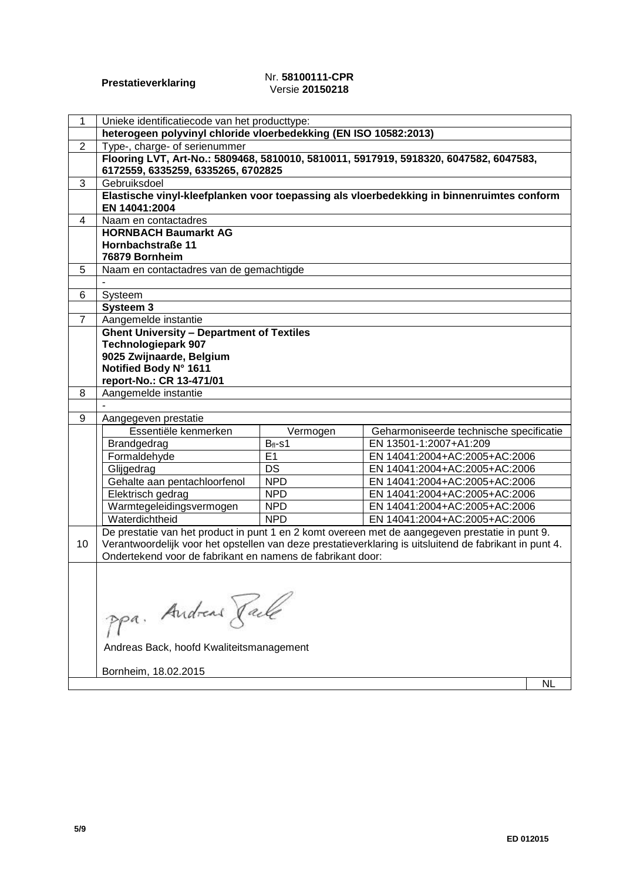#### **Prestatieverklaring** Nr. **58100111-CPR** Versie **20150218**

| 1              | Unieke identificatiecode van het producttype:                    |              |                                                                                                         |           |
|----------------|------------------------------------------------------------------|--------------|---------------------------------------------------------------------------------------------------------|-----------|
|                | heterogeen polyvinyl chloride vloerbedekking (EN ISO 10582:2013) |              |                                                                                                         |           |
| $\overline{2}$ | Type-, charge- of serienummer                                    |              |                                                                                                         |           |
|                |                                                                  |              | Flooring LVT, Art-No.: 5809468, 5810010, 5810011, 5917919, 5918320, 6047582, 6047583,                   |           |
|                | 6172559, 6335259, 6335265, 6702825                               |              |                                                                                                         |           |
| 3              | Gebruiksdoel                                                     |              |                                                                                                         |           |
|                |                                                                  |              | Elastische vinyl-kleefplanken voor toepassing als vloerbedekking in binnenruimtes conform               |           |
|                | EN 14041:2004                                                    |              |                                                                                                         |           |
| 4              | Naam en contactadres                                             |              |                                                                                                         |           |
|                | <b>HORNBACH Baumarkt AG</b>                                      |              |                                                                                                         |           |
|                | Hornbachstraße 11                                                |              |                                                                                                         |           |
|                | 76879 Bornheim                                                   |              |                                                                                                         |           |
| 5              | Naam en contactadres van de gemachtigde                          |              |                                                                                                         |           |
|                |                                                                  |              |                                                                                                         |           |
| 6              | Systeem                                                          |              |                                                                                                         |           |
|                | Systeem 3                                                        |              |                                                                                                         |           |
| 7              | Aangemelde instantie                                             |              |                                                                                                         |           |
|                | <b>Ghent University - Department of Textiles</b>                 |              |                                                                                                         |           |
|                | <b>Technologiepark 907</b><br>9025 Zwijnaarde, Belgium           |              |                                                                                                         |           |
|                | Notified Body N° 1611                                            |              |                                                                                                         |           |
|                | report-No.: CR 13-471/01                                         |              |                                                                                                         |           |
| 8              | Aangemelde instantie                                             |              |                                                                                                         |           |
|                |                                                                  |              |                                                                                                         |           |
| 9              | Aangegeven prestatie                                             |              |                                                                                                         |           |
|                | Essentiële kenmerken                                             | Vermogen     | Geharmoniseerde technische specificatie                                                                 |           |
|                | Brandgedrag                                                      | $B_{fl}$ -s1 | EN 13501-1:2007+A1:209                                                                                  |           |
|                | Formaldehyde                                                     | E1           | EN 14041:2004+AC:2005+AC:2006                                                                           |           |
|                | Glijgedrag                                                       | DS           | EN 14041:2004+AC:2005+AC:2006                                                                           |           |
|                | Gehalte aan pentachloorfenol                                     | <b>NPD</b>   | EN 14041:2004+AC:2005+AC:2006                                                                           |           |
|                | Elektrisch gedrag                                                | <b>NPD</b>   | EN 14041:2004+AC:2005+AC:2006                                                                           |           |
|                | Warmtegeleidingsvermogen                                         | <b>NPD</b>   | EN 14041:2004+AC:2005+AC:2006                                                                           |           |
|                | Waterdichtheid                                                   | <b>NPD</b>   | EN 14041:2004+AC:2005+AC:2006                                                                           |           |
|                |                                                                  |              | De prestatie van het product in punt 1 en 2 komt overeen met de aangegeven prestatie in punt 9.         |           |
| 10             |                                                                  |              | Verantwoordelijk voor het opstellen van deze prestatieverklaring is uitsluitend de fabrikant in punt 4. |           |
|                | Ondertekend voor de fabrikant en namens de fabrikant door:       |              |                                                                                                         |           |
|                |                                                                  |              |                                                                                                         |           |
|                |                                                                  |              |                                                                                                         |           |
|                |                                                                  |              |                                                                                                         |           |
|                | ppa. Andreas Rache                                               |              |                                                                                                         |           |
|                |                                                                  |              |                                                                                                         |           |
|                |                                                                  |              |                                                                                                         |           |
|                | Andreas Back, hoofd Kwaliteitsmanagement                         |              |                                                                                                         |           |
|                |                                                                  |              |                                                                                                         |           |
|                | Bornheim, 18.02.2015                                             |              |                                                                                                         |           |
|                |                                                                  |              |                                                                                                         | <b>NL</b> |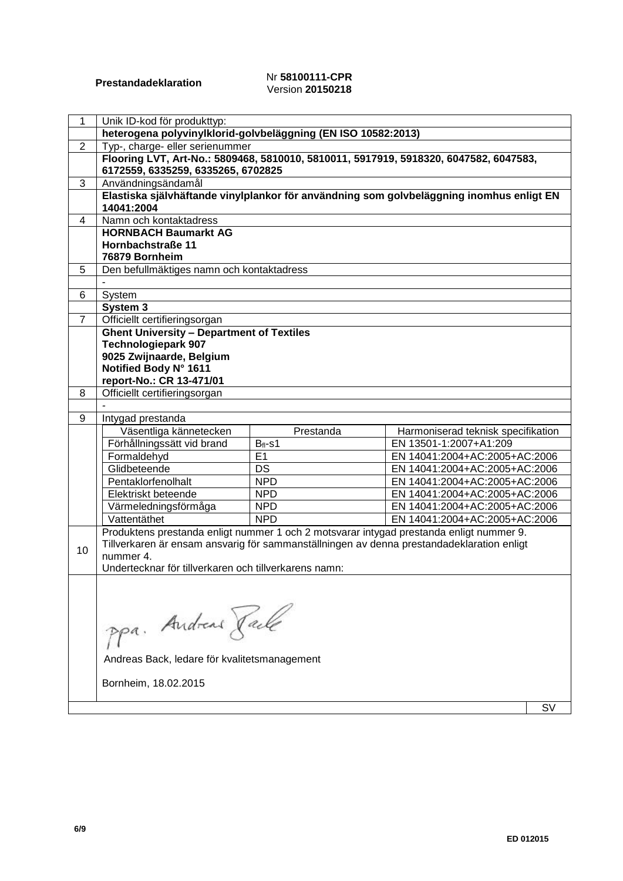#### **Prestandadeklaration** Nr **58100111-CPR** Version **20150218**

| 1              | Unik ID-kod för produkttyp:                                                               |              |                                    |    |
|----------------|-------------------------------------------------------------------------------------------|--------------|------------------------------------|----|
|                | heterogena polyvinylklorid-golvbeläggning (EN ISO 10582:2013)                             |              |                                    |    |
| $\overline{2}$ | Typ-, charge- eller serienummer                                                           |              |                                    |    |
|                | Flooring LVT, Art-No.: 5809468, 5810010, 5810011, 5917919, 5918320, 6047582, 6047583,     |              |                                    |    |
|                | 6172559, 6335259, 6335265, 6702825                                                        |              |                                    |    |
| 3              | Användningsändamål                                                                        |              |                                    |    |
|                | Elastiska självhäftande vinylplankor för användning som golvbeläggning inomhus enligt EN  |              |                                    |    |
|                | 14041:2004                                                                                |              |                                    |    |
| 4              | Namn och kontaktadress                                                                    |              |                                    |    |
|                | <b>HORNBACH Baumarkt AG</b>                                                               |              |                                    |    |
|                | Hornbachstraße 11<br>76879 Bornheim                                                       |              |                                    |    |
| 5              | Den befullmäktiges namn och kontaktadress                                                 |              |                                    |    |
|                |                                                                                           |              |                                    |    |
| 6              | System                                                                                    |              |                                    |    |
|                | System 3                                                                                  |              |                                    |    |
| 7              | Officiellt certifieringsorgan                                                             |              |                                    |    |
|                | <b>Ghent University - Department of Textiles</b>                                          |              |                                    |    |
|                | <b>Technologiepark 907</b>                                                                |              |                                    |    |
|                | 9025 Zwijnaarde, Belgium                                                                  |              |                                    |    |
|                | Notified Body N° 1611                                                                     |              |                                    |    |
|                | report-No.: CR 13-471/01                                                                  |              |                                    |    |
| 8              | Officiellt certifieringsorgan                                                             |              |                                    |    |
| 9              | Intygad prestanda                                                                         |              |                                    |    |
|                | Väsentliga kännetecken                                                                    | Prestanda    | Harmoniserad teknisk specifikation |    |
|                | Förhållningssätt vid brand                                                                | $B_{fl}$ -s1 | EN 13501-1:2007+A1:209             |    |
|                | Formaldehyd                                                                               | E1           | EN 14041:2004+AC:2005+AC:2006      |    |
|                | Glidbeteende                                                                              | DS           | EN 14041:2004+AC:2005+AC:2006      |    |
|                | Pentaklorfenolhalt                                                                        | <b>NPD</b>   | EN 14041:2004+AC:2005+AC:2006      |    |
|                | Elektriskt beteende                                                                       | <b>NPD</b>   | EN 14041:2004+AC:2005+AC:2006      |    |
|                | Värmeledningsförmåga                                                                      | <b>NPD</b>   | EN 14041:2004+AC:2005+AC:2006      |    |
|                | Vattentäthet                                                                              | <b>NPD</b>   | EN 14041:2004+AC:2005+AC:2006      |    |
|                | Produktens prestanda enligt nummer 1 och 2 motsvarar intygad prestanda enligt nummer 9.   |              |                                    |    |
| 10             | Tillverkaren är ensam ansvarig för sammanställningen av denna prestandadeklaration enligt |              |                                    |    |
|                | nummer 4.                                                                                 |              |                                    |    |
|                | Undertecknar för tillverkaren och tillverkarens namn:                                     |              |                                    |    |
|                |                                                                                           |              |                                    |    |
|                |                                                                                           |              |                                    |    |
|                |                                                                                           |              |                                    |    |
|                | ppa. Andreas Rache                                                                        |              |                                    |    |
|                |                                                                                           |              |                                    |    |
|                | Andreas Back, ledare för kvalitetsmanagement                                              |              |                                    |    |
|                |                                                                                           |              |                                    |    |
|                | Bornheim, 18.02.2015                                                                      |              |                                    |    |
|                |                                                                                           |              |                                    |    |
|                |                                                                                           |              |                                    | S٧ |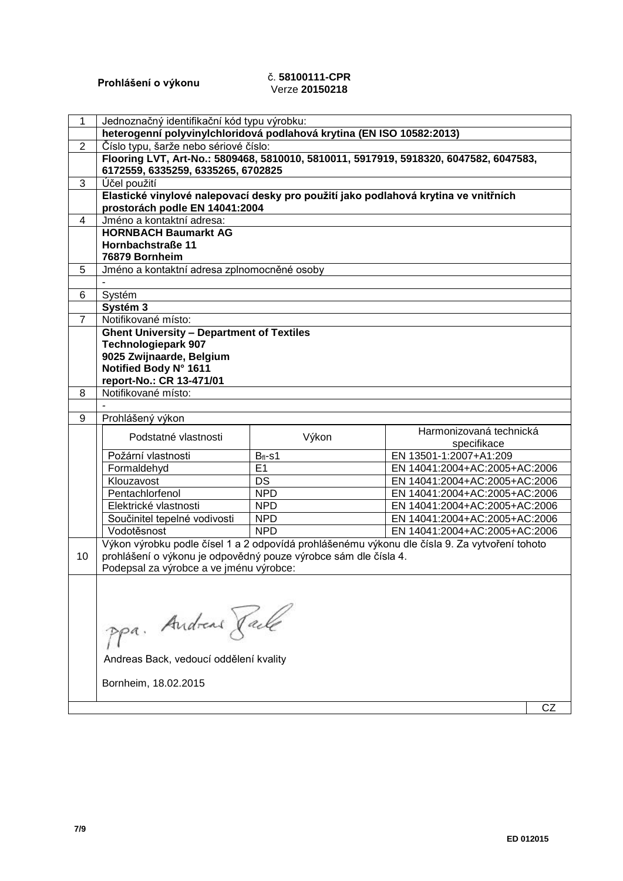# **Prohlášení o výkonu** č. **58100111-CPR** Verze **20150218**

| $\mathbf{1}$   | Jednoznačný identifikační kód typu výrobku:                                         |            |                                                                                               |    |
|----------------|-------------------------------------------------------------------------------------|------------|-----------------------------------------------------------------------------------------------|----|
|                | heterogenní polyvinylchloridová podlahová krytina (EN ISO 10582:2013)               |            |                                                                                               |    |
| $\overline{2}$ | Číslo typu, šarže nebo sériové číslo:                                               |            |                                                                                               |    |
|                | 6172559, 6335259, 6335265, 6702825                                                  |            | Flooring LVT, Art-No.: 5809468, 5810010, 5810011, 5917919, 5918320, 6047582, 6047583,         |    |
| 3              | Účel použití                                                                        |            |                                                                                               |    |
|                | Elastické vinylové nalepovací desky pro použití jako podlahová krytina ve vnitřních |            |                                                                                               |    |
|                | prostorách podle EN 14041:2004                                                      |            |                                                                                               |    |
| 4              | Jméno a kontaktní adresa:                                                           |            |                                                                                               |    |
|                | <b>HORNBACH Baumarkt AG</b>                                                         |            |                                                                                               |    |
|                | Hornbachstraße 11                                                                   |            |                                                                                               |    |
|                | 76879 Bornheim                                                                      |            |                                                                                               |    |
| 5              | Jméno a kontaktní adresa zplnomocněné osoby                                         |            |                                                                                               |    |
|                |                                                                                     |            |                                                                                               |    |
| 6              | Systém                                                                              |            |                                                                                               |    |
|                | Systém 3                                                                            |            |                                                                                               |    |
| $\overline{7}$ | Notifikované místo:                                                                 |            |                                                                                               |    |
|                | <b>Ghent University - Department of Textiles</b>                                    |            |                                                                                               |    |
|                | <b>Technologiepark 907</b>                                                          |            |                                                                                               |    |
|                | 9025 Zwijnaarde, Belgium                                                            |            |                                                                                               |    |
|                | Notified Body N° 1611                                                               |            |                                                                                               |    |
|                | report-No.: CR 13-471/01                                                            |            |                                                                                               |    |
| 8              | Notifikované místo:                                                                 |            |                                                                                               |    |
|                |                                                                                     |            |                                                                                               |    |
| 9              | Prohlášený výkon                                                                    |            |                                                                                               |    |
|                | Podstatné vlastnosti                                                                | Výkon      | Harmonizovaná technická                                                                       |    |
|                |                                                                                     |            | specifikace                                                                                   |    |
|                | Požární vlastnosti                                                                  | $Bfl-s1$   | EN 13501-1:2007+A1:209                                                                        |    |
|                | Formaldehyd                                                                         | E1         | EN 14041:2004+AC:2005+AC:2006                                                                 |    |
|                | Klouzavost                                                                          | <b>DS</b>  | EN 14041:2004+AC:2005+AC:2006                                                                 |    |
|                | Pentachlorfenol                                                                     | <b>NPD</b> | EN 14041:2004+AC:2005+AC:2006                                                                 |    |
|                | Elektrické vlastnosti                                                               | <b>NPD</b> | EN 14041:2004+AC:2005+AC:2006                                                                 |    |
|                | Součinitel tepelné vodivosti                                                        | <b>NPD</b> | EN 14041:2004+AC:2005+AC:2006                                                                 |    |
|                | Vodotěsnost                                                                         | <b>NPD</b> | EN 14041:2004+AC:2005+AC:2006                                                                 |    |
|                |                                                                                     |            | Výkon výrobku podle čísel 1 a 2 odpovídá prohlášenému výkonu dle čísla 9. Za vytvoření tohoto |    |
| 10             | prohlášení o výkonu je odpovědný pouze výrobce sám dle čísla 4.                     |            |                                                                                               |    |
|                | Podepsal za výrobce a ve jménu výrobce:                                             |            |                                                                                               |    |
|                |                                                                                     |            |                                                                                               |    |
|                |                                                                                     |            |                                                                                               |    |
|                | ppa. Andreas Rack                                                                   |            |                                                                                               |    |
|                |                                                                                     |            |                                                                                               |    |
|                |                                                                                     |            |                                                                                               |    |
|                |                                                                                     |            |                                                                                               |    |
|                | Andreas Back, vedoucí oddělení kvality                                              |            |                                                                                               |    |
|                |                                                                                     |            |                                                                                               |    |
|                | Bornheim, 18.02.2015                                                                |            |                                                                                               |    |
|                |                                                                                     |            |                                                                                               |    |
|                |                                                                                     |            |                                                                                               | CZ |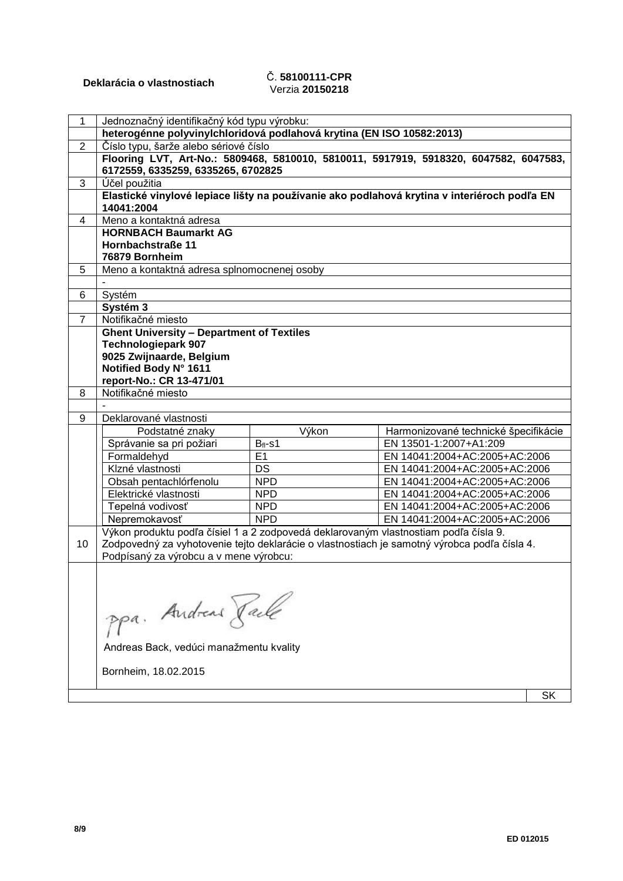# **Deklarácia o vlastnostiach** Č. **58100111-CPR** Verzia **20150218**

| 1              | Jednoznačný identifikačný kód typu výrobku:                                          |            |                                                                                              |
|----------------|--------------------------------------------------------------------------------------|------------|----------------------------------------------------------------------------------------------|
|                | heterogénne polyvinylchloridová podlahová krytina (EN ISO 10582:2013)                |            |                                                                                              |
| $\overline{2}$ | Číslo typu, šarže alebo sériové číslo                                                |            |                                                                                              |
|                | 6172559, 6335259, 6335265, 6702825                                                   |            | Flooring LVT, Art-No.: 5809468, 5810010, 5810011, 5917919, 5918320, 6047582, 6047583,        |
| 3              | Účel použitia                                                                        |            |                                                                                              |
|                |                                                                                      |            | Elastické vinylové lepiace lišty na používanie ako podlahová krytina v interiéroch podľa EN  |
|                | 14041:2004                                                                           |            |                                                                                              |
| 4              | Meno a kontaktná adresa                                                              |            |                                                                                              |
|                | <b>HORNBACH Baumarkt AG</b>                                                          |            |                                                                                              |
|                | Hornbachstraße 11                                                                    |            |                                                                                              |
|                | 76879 Bornheim                                                                       |            |                                                                                              |
| 5              | Meno a kontaktná adresa splnomocnenej osoby                                          |            |                                                                                              |
|                |                                                                                      |            |                                                                                              |
| 6              | Systém                                                                               |            |                                                                                              |
|                | Systém 3                                                                             |            |                                                                                              |
| $\overline{7}$ | Notifikačné miesto                                                                   |            |                                                                                              |
|                | <b>Ghent University - Department of Textiles</b>                                     |            |                                                                                              |
|                | <b>Technologiepark 907</b>                                                           |            |                                                                                              |
|                | 9025 Zwijnaarde, Belgium                                                             |            |                                                                                              |
|                | Notified Body N° 1611<br>report-No.: CR 13-471/01                                    |            |                                                                                              |
| 8              | Notifikačné miesto                                                                   |            |                                                                                              |
|                |                                                                                      |            |                                                                                              |
| 9              | Deklarované vlastnosti                                                               |            |                                                                                              |
|                | Podstatné znaky                                                                      | Výkon      | Harmonizované technické špecifikácie                                                         |
|                | Správanie sa pri požiari                                                             | $Bfl-s1$   | EN 13501-1:2007+A1:209                                                                       |
|                | Formaldehyd                                                                          | E1         | EN 14041:2004+AC:2005+AC:2006                                                                |
|                | Klzné vlastnosti                                                                     | <b>DS</b>  | EN 14041:2004+AC:2005+AC:2006                                                                |
|                | Obsah pentachlórfenolu                                                               | <b>NPD</b> | EN 14041:2004+AC:2005+AC:2006                                                                |
|                | Elektrické vlastnosti                                                                | <b>NPD</b> | EN 14041:2004+AC:2005+AC:2006                                                                |
|                | Tepelná vodivosť                                                                     | <b>NPD</b> | EN 14041:2004+AC:2005+AC:2006                                                                |
|                | Nepremokavosť                                                                        | <b>NPD</b> | EN 14041:2004+AC:2005+AC:2006                                                                |
|                | Výkon produktu podľa čísiel 1 a 2 zodpovedá deklarovaným vlastnostiam podľa čísla 9. |            |                                                                                              |
| 10             |                                                                                      |            | Zodpovedný za vyhotovenie tejto deklarácie o vlastnostiach je samotný výrobca podľa čísla 4. |
|                | Podpísaný za výrobcu a v mene výrobcu:                                               |            |                                                                                              |
|                |                                                                                      |            |                                                                                              |
|                |                                                                                      |            |                                                                                              |
|                |                                                                                      |            |                                                                                              |
|                | ppa. Andreas Raile                                                                   |            |                                                                                              |
|                |                                                                                      |            |                                                                                              |
|                |                                                                                      |            |                                                                                              |
|                | Andreas Back, vedúci manažmentu kvality                                              |            |                                                                                              |
|                |                                                                                      |            |                                                                                              |
|                | Bornheim, 18.02.2015                                                                 |            |                                                                                              |
|                |                                                                                      |            |                                                                                              |

 $\overline{\phantom{a}}$  SK